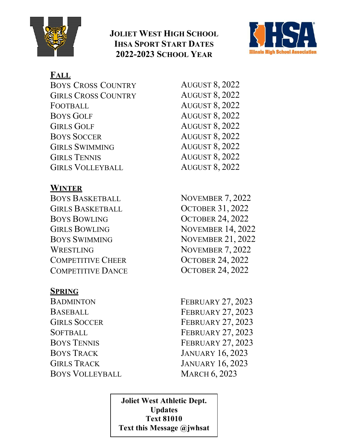

## **JOLIET WEST HIGH SCHOOL IHSA SPORT START DATES 2022-2023 SCHOOL YEAR**



## **FALL**

| <b>BOYS CROSS COUNTRY</b>  | <b>AUGUST 8, 2022</b> |
|----------------------------|-----------------------|
| <b>GIRLS CROSS COUNTRY</b> | <b>AUGUST 8, 2022</b> |
| FOOTBALL                   | <b>AUGUST 8, 2022</b> |
| <b>BOYS GOLF</b>           | <b>AUGUST 8, 2022</b> |
| <b>GIRLS GOLF</b>          | <b>AUGUST 8, 2022</b> |
| <b>BOYS SOCCER</b>         | <b>AUGUST 8, 2022</b> |
| <b>GIRLS SWIMMING</b>      | <b>AUGUST 8, 2022</b> |
| <b>GIRLS TENNIS</b>        | <b>AUGUST 8, 2022</b> |
| <b>GIRLS VOLLEYBALL</b>    | <b>AUGUST 8, 2022</b> |
|                            |                       |

## **WINTER**

BOYS BASKETBALL GIRLS BASKETBALL BOYS BOWLING GIRLS BOWLING BOYS SWIMMING WRESTLING COMPETITIVE CHEER COMPETITIVE DANCE

### **SPRING**

**BADMINTON** BASEBALL GIRLS SOCCER **SOFTBALL** BOYS TENNIS BOYS TRACK GIRLS TRACK BOYS VOLLEYBALL NOVEMBER 7, 2022 OCTOBER 31, 2022 OCTOBER 24, 2022 NOVEMBER 14, 2022 NOVEMBER 21, 2022 NOVEMBER 7, 2022 OCTOBER 24, 2022 OCTOBER 24, 2022

 FEBRUARY 27, 2023 FEBRUARY 27, 2023 FEBRUARY 27, 2023 FEBRUARY 27, 2023 FEBRUARY 27, 2023 JANUARY 16, 2023 JANUARY 16, 2023 MARCH 6, 2023

**Joliet West Athletic Dept. Updates Text 81010 Text this Message @jwhsat**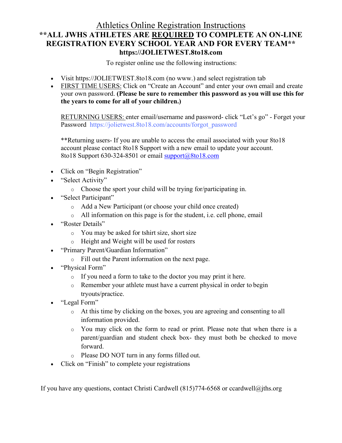#### Athletics Online Registration Instructions **\*\*ALL JWHS ATHLETES ARE REQUIRED TO COMPLETE AN ON-LINE REGISTRATION EVERY SCHOOL YEAR AND FOR EVERY TEAM\*\* https://JOLIETWEST.8to18.com**

To register online use the following instructions:

- Visit https://JOLIETWEST.8to18.com (no www.) and select registration tab
- FIRST TIME USERS: Click on "Create an Account" and enter your own email and create your own password. **(Please be sure to remember this password as you will use this for the years to come for all of your children.)**

RETURNING USERS: enter email/username and password- click "Let's go" - Forget your Password [https://jolietwest.8to18.com/accounts/forgot\\_password](https://jolietwest.8to18.com/accounts/forgot_password)

\*\*Returning users- If you are unable to access the email associated with your 8to18 account please contact 8to18 Support with a new email to update your account. 8to18 Support  $630-324-8501$  or email support $(a)8$ to18.com

- Click on "Begin Registration"
- "Select Activity"
	- o Choose the sport your child will be trying for/participating in.
- "Select Participant"
	- o Add a New Participant (or choose your child once created)
	- o All information on this page is for the student, i.e. cell phone, email
- "Roster Details"
	- o You may be asked for tshirt size, short size
	- o Height and Weight will be used for rosters
- "Primary Parent/Guardian Information"
	- o Fill out the Parent information on the next page.
- "Physical Form"
	- o If you need a form to take to the doctor you may print it here.
	- o Remember your athlete must have a current physical in order to begin tryouts/practice.
- "Legal Form"
	- o At this time by clicking on the boxes, you are agreeing and consenting to all information provided.
	- o You may click on the form to read or print. Please note that when there is a parent/guardian and student check box- they must both be checked to move forward.
	- o Please DO NOT turn in any forms filled out.
- Click on "Finish" to complete your registrations

If you have any questions, contact Christi Cardwell  $(815)774-6568$  or ccardwell $@$ jths.org